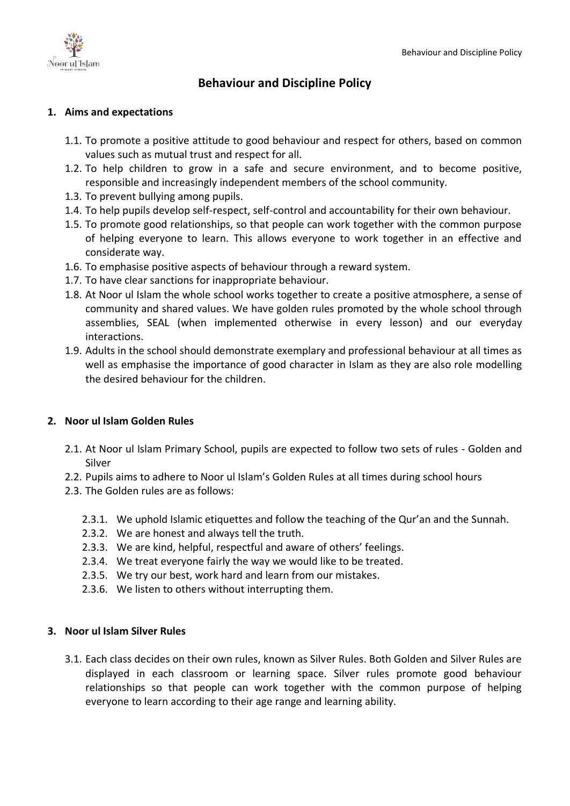

# **Behaviour and Discipline Policy**

### **1. Aims and expectations**

- 1.1. To promote a positive attitude to good behaviour and respect for others, based on common values such as mutual trust and respect for all.
- 1.2. To help children to grow in a safe and secure environment, and to become positive, responsible and increasingly independent members of the school community.
- 1.3. To prevent bullying among pupils.
- 1.4. To help pupils develop self-respect, self-control and accountability for their own behaviour.
- 1.5. To promote good relationships, so that people can work together with the common purpose of helping everyone to learn. This allows everyone to work together in an effective and considerate way.
- 1.6. To emphasise positive aspects of behaviour through a reward system.
- 1.7. To have clear sanctions for inappropriate behaviour.
- 1.8. At Noor ul Islam the whole school works together to create a positive atmosphere, a sense of community and shared values. We have golden rules promoted by the whole school through assemblies, SEAL (when implemented otherwise in every lesson) and our everyday interactions.
- 1.9. Adults in the school should demonstrate exemplary and professional behaviour at all times as well as emphasise the importance of good character in Islam as they are also role modelling the desired behaviour for the children.

# **2. Noor ul Islam Golden Rules**

- 2.1. At Noor ul Islam Primary School, pupils are expected to follow two sets of rules Golden and Silver
- 2.2. Pupils aims to adhere to Noor ul Islam's Golden Rules at all times during school hours
- 2.3. The Golden rules are as follows:
	- 2.3.1. We uphold Islamic etiquettes and follow the teaching of the Qur'an and the Sunnah.
	- 2.3.2. We are honest and always tell the truth.
	- 2.3.3. We are kind, helpful, respectful and aware of others' feelings.
	- 2.3.4. We treat everyone fairly the way we would like to be treated.
	- 2.3.5. We try our best, work hard and learn from our mistakes.
	- 2.3.6. We listen to others without interrupting them.

#### **3. Noor ul Islam Silver Rules**

3.1. Each class decides on their own rules, known as Silver Rules. Both Golden and Silver Rules are displayed in each classroom or learning space. Silver rules promote good behaviour relationships so that people can work together with the common purpose of helping everyone to learn according to their age range and learning ability.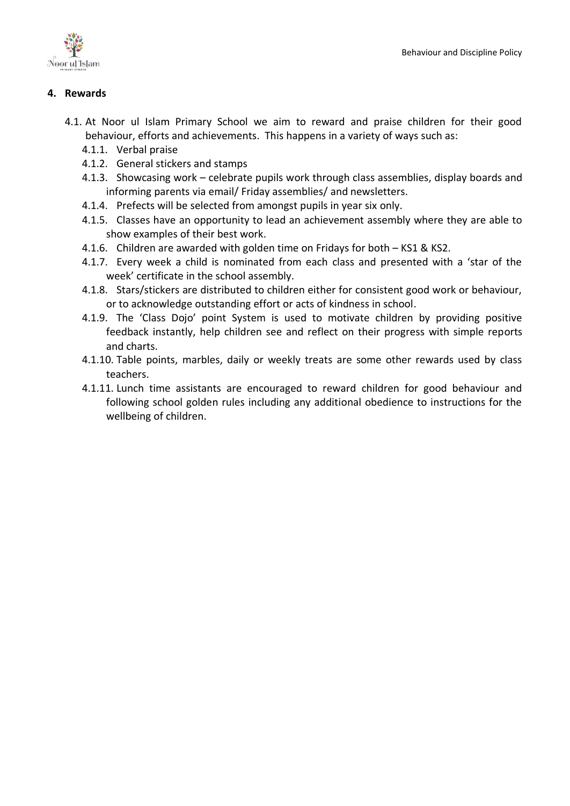

# **4. Rewards**

- 4.1. At Noor ul Islam Primary School we aim to reward and praise children for their good behaviour, efforts and achievements. This happens in a variety of ways such as:
	- 4.1.1. Verbal praise
	- 4.1.2. General stickers and stamps
	- 4.1.3. Showcasing work celebrate pupils work through class assemblies, display boards and informing parents via email/ Friday assemblies/ and newsletters.
	- 4.1.4. Prefects will be selected from amongst pupils in year six only.
	- 4.1.5. Classes have an opportunity to lead an achievement assembly where they are able to show examples of their best work.
	- 4.1.6. Children are awarded with golden time on Fridays for both KS1 & KS2.
	- 4.1.7. Every week a child is nominated from each class and presented with a 'star of the week' certificate in the school assembly.
	- 4.1.8. Stars/stickers are distributed to children either for consistent good work or behaviour, or to acknowledge outstanding effort or acts of kindness in school.
	- 4.1.9. The 'Class Dojo' point System is used to motivate children by providing positive feedback instantly, help children see and reflect on their progress with simple reports and charts.
	- 4.1.10. Table points, marbles, daily or weekly treats are some other rewards used by class teachers.
	- 4.1.11. Lunch time assistants are encouraged to reward children for good behaviour and following school golden rules including any additional obedience to instructions for the wellbeing of children.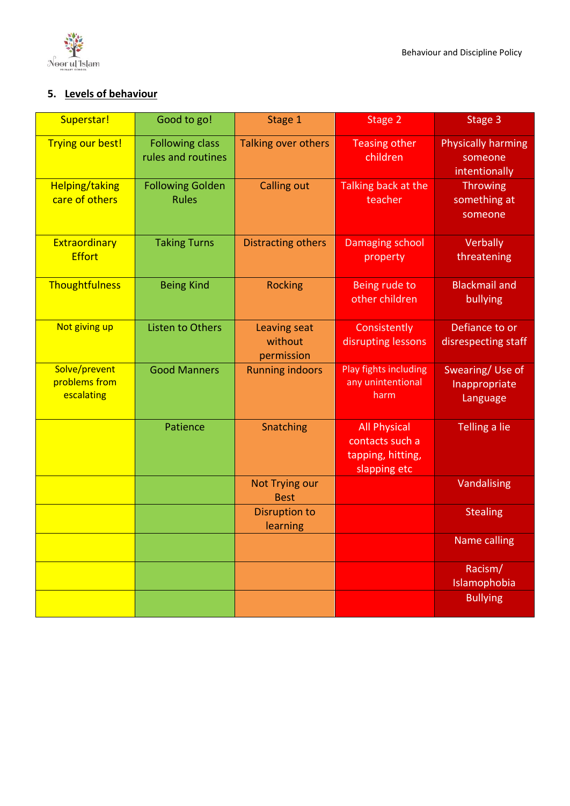

# **5. Levels of behaviour**

| Superstar!                                   | Good to go!                                  | Stage 1                               | Stage 2                                                                     | Stage 3                                               |
|----------------------------------------------|----------------------------------------------|---------------------------------------|-----------------------------------------------------------------------------|-------------------------------------------------------|
| <b>Trying our best!</b>                      | <b>Following class</b><br>rules and routines | Talking over others                   | <b>Teasing other</b><br>children                                            | <b>Physically harming</b><br>someone<br>intentionally |
| <b>Helping/taking</b><br>care of others      | <b>Following Golden</b><br><b>Rules</b>      | <b>Calling out</b>                    | Talking back at the<br>teacher                                              | <b>Throwing</b><br>something at<br>someone            |
| Extraordinary<br><b>Effort</b>               | <b>Taking Turns</b>                          | <b>Distracting others</b>             | <b>Damaging school</b><br>property                                          | Verbally<br>threatening                               |
| Thoughtfulness                               | <b>Being Kind</b>                            | <b>Rocking</b>                        | Being rude to<br>other children                                             | <b>Blackmail and</b><br>bullying                      |
| Not giving up                                | <b>Listen to Others</b>                      | Leaving seat<br>without<br>permission | Consistently<br>disrupting lessons                                          | Defiance to or<br>disrespecting staff                 |
| Solve/prevent<br>problems from<br>escalating | <b>Good Manners</b>                          | <b>Running indoors</b>                | Play fights including<br>any unintentional<br>harm                          | Swearing/Use of<br>Inappropriate<br>Language          |
|                                              | Patience                                     | Snatching                             | <b>All Physical</b><br>contacts such a<br>tapping, hitting,<br>slapping etc | Telling a lie                                         |
|                                              |                                              | <b>Not Trying our</b><br><b>Best</b>  |                                                                             | Vandalising                                           |
|                                              |                                              | <b>Disruption to</b><br>learning      |                                                                             | <b>Stealing</b>                                       |
|                                              |                                              |                                       |                                                                             | <b>Name calling</b>                                   |
|                                              |                                              |                                       |                                                                             | Racism/<br>Islamophobia                               |
|                                              |                                              |                                       |                                                                             | <b>Bullying</b>                                       |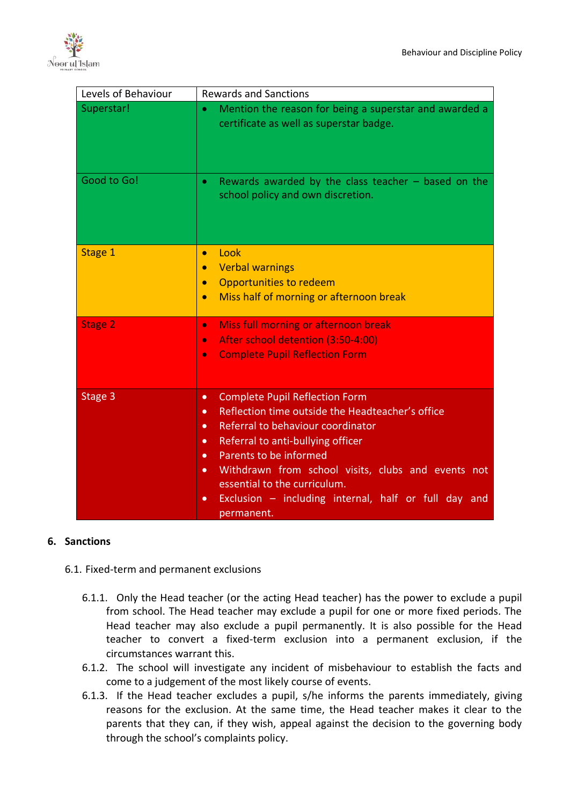

| Levels of Behaviour | <b>Rewards and Sanctions</b>                                                                                                                                                                                                                                                                                                                                                                                                                         |  |
|---------------------|------------------------------------------------------------------------------------------------------------------------------------------------------------------------------------------------------------------------------------------------------------------------------------------------------------------------------------------------------------------------------------------------------------------------------------------------------|--|
| Superstar!          | Mention the reason for being a superstar and awarded a<br>$\bullet$<br>certificate as well as superstar badge.                                                                                                                                                                                                                                                                                                                                       |  |
| Good to Go!         | Rewards awarded by the class teacher $-$ based on the<br>$\bullet$<br>school policy and own discretion.                                                                                                                                                                                                                                                                                                                                              |  |
| Stage 1             | Look<br>$\bullet$<br><b>Verbal warnings</b><br>$\bullet$<br><b>Opportunities to redeem</b><br>$\bullet$<br>Miss half of morning or afternoon break<br>$\bullet$                                                                                                                                                                                                                                                                                      |  |
| <b>Stage 2</b>      | Miss full morning or afternoon break<br>$\bullet$<br>After school detention (3:50-4:00)<br>$\bullet$<br><b>Complete Pupil Reflection Form</b><br>$\bullet$                                                                                                                                                                                                                                                                                           |  |
| Stage 3             | <b>Complete Pupil Reflection Form</b><br>$\bullet$<br>Reflection time outside the Headteacher's office<br>$\bullet$<br>Referral to behaviour coordinator<br>$\bullet$<br>Referral to anti-bullying officer<br>$\bullet$<br>Parents to be informed<br>$\bullet$<br>Withdrawn from school visits, clubs and events not<br>$\bullet$<br>essential to the curriculum.<br>Exclusion - including internal, half or full day and<br>$\bullet$<br>permanent. |  |

#### **6. Sanctions**

- 6.1. Fixed-term and permanent exclusions
	- 6.1.1. Only the Head teacher (or the acting Head teacher) has the power to exclude a pupil from school. The Head teacher may exclude a pupil for one or more fixed periods. The Head teacher may also exclude a pupil permanently. It is also possible for the Head teacher to convert a fixed-term exclusion into a permanent exclusion, if the circumstances warrant this.
	- 6.1.2. The school will investigate any incident of misbehaviour to establish the facts and come to a judgement of the most likely course of events.
	- 6.1.3. If the Head teacher excludes a pupil, s/he informs the parents immediately, giving reasons for the exclusion. At the same time, the Head teacher makes it clear to the parents that they can, if they wish, appeal against the decision to the governing body through the school's complaints policy.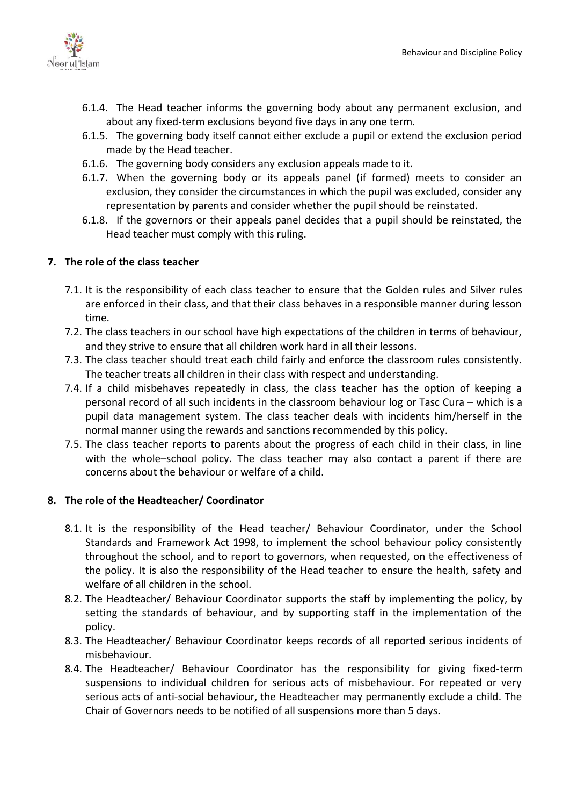

- 6.1.4. The Head teacher informs the governing body about any permanent exclusion, and about any fixed-term exclusions beyond five days in any one term.
- 6.1.5. The governing body itself cannot either exclude a pupil or extend the exclusion period made by the Head teacher.
- 6.1.6. The governing body considers any exclusion appeals made to it.
- 6.1.7. When the governing body or its appeals panel (if formed) meets to consider an exclusion, they consider the circumstances in which the pupil was excluded, consider any representation by parents and consider whether the pupil should be reinstated.
- 6.1.8. If the governors or their appeals panel decides that a pupil should be reinstated, the Head teacher must comply with this ruling.

# **7. The role of the class teacher**

- 7.1. It is the responsibility of each class teacher to ensure that the Golden rules and Silver rules are enforced in their class, and that their class behaves in a responsible manner during lesson time.
- 7.2. The class teachers in our school have high expectations of the children in terms of behaviour, and they strive to ensure that all children work hard in all their lessons.
- 7.3. The class teacher should treat each child fairly and enforce the classroom rules consistently. The teacher treats all children in their class with respect and understanding.
- 7.4. If a child misbehaves repeatedly in class, the class teacher has the option of keeping a personal record of all such incidents in the classroom behaviour log or Tasc Cura – which is a pupil data management system. The class teacher deals with incidents him/herself in the normal manner using the rewards and sanctions recommended by this policy.
- 7.5. The class teacher reports to parents about the progress of each child in their class, in line with the whole–school policy. The class teacher may also contact a parent if there are concerns about the behaviour or welfare of a child.

#### **8. The role of the Headteacher/ Coordinator**

- 8.1. It is the responsibility of the Head teacher/ Behaviour Coordinator, under the School Standards and Framework Act 1998, to implement the school behaviour policy consistently throughout the school, and to report to governors, when requested, on the effectiveness of the policy. It is also the responsibility of the Head teacher to ensure the health, safety and welfare of all children in the school.
- 8.2. The Headteacher/ Behaviour Coordinator supports the staff by implementing the policy, by setting the standards of behaviour, and by supporting staff in the implementation of the policy.
- 8.3. The Headteacher/ Behaviour Coordinator keeps records of all reported serious incidents of misbehaviour.
- 8.4. The Headteacher/ Behaviour Coordinator has the responsibility for giving fixed-term suspensions to individual children for serious acts of misbehaviour. For repeated or very serious acts of anti-social behaviour, the Headteacher may permanently exclude a child. The Chair of Governors needs to be notified of all suspensions more than 5 days.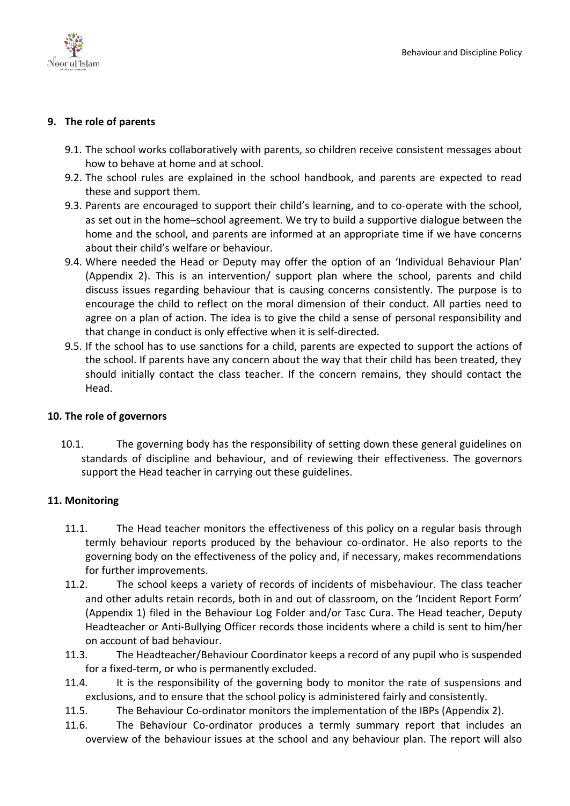

# **9. The role of parents**

- 9.1. The school works collaboratively with parents, so children receive consistent messages about how to behave at home and at school.
- 9.2. The school rules are explained in the school handbook, and parents are expected to read these and support them.
- 9.3. Parents are encouraged to support their child's learning, and to co-operate with the school, as set out in the home–school agreement. We try to build a supportive dialogue between the home and the school, and parents are informed at an appropriate time if we have concerns about their child's welfare or behaviour.
- 9.4. Where needed the Head or Deputy may offer the option of an 'Individual Behaviour Plan' (Appendix 2). This is an intervention/ support plan where the school, parents and child discuss issues regarding behaviour that is causing concerns consistently. The purpose is to encourage the child to reflect on the moral dimension of their conduct. All parties need to agree on a plan of action. The idea is to give the child a sense of personal responsibility and that change in conduct is only effective when it is self-directed.
- 9.5. If the school has to use sanctions for a child, parents are expected to support the actions of the school. If parents have any concern about the way that their child has been treated, they should initially contact the class teacher. If the concern remains, they should contact the Head.

# **10. The role of governors**

10.1. The governing body has the responsibility of setting down these general guidelines on standards of discipline and behaviour, and of reviewing their effectiveness. The governors support the Head teacher in carrying out these guidelines.

# **11. Monitoring**

- 11.1. The Head teacher monitors the effectiveness of this policy on a regular basis through termly behaviour reports produced by the behaviour co-ordinator. He also reports to the governing body on the effectiveness of the policy and, if necessary, makes recommendations for further improvements.
- 11.2. The school keeps a variety of records of incidents of misbehaviour. The class teacher and other adults retain records, both in and out of classroom, on the 'Incident Report Form' (Appendix 1) filed in the Behaviour Log Folder and/or Tasc Cura. The Head teacher, Deputy Headteacher or Anti-Bullying Officer records those incidents where a child is sent to him/her on account of bad behaviour.
- 11.3. The Headteacher/Behaviour Coordinator keeps a record of any pupil who is suspended for a fixed-term, or who is permanently excluded.
- 11.4. It is the responsibility of the governing body to monitor the rate of suspensions and exclusions, and to ensure that the school policy is administered fairly and consistently.
- 11.5. The Behaviour Co-ordinator monitors the implementation of the IBPs (Appendix 2).
- 11.6. The Behaviour Co-ordinator produces a termly summary report that includes an overview of the behaviour issues at the school and any behaviour plan. The report will also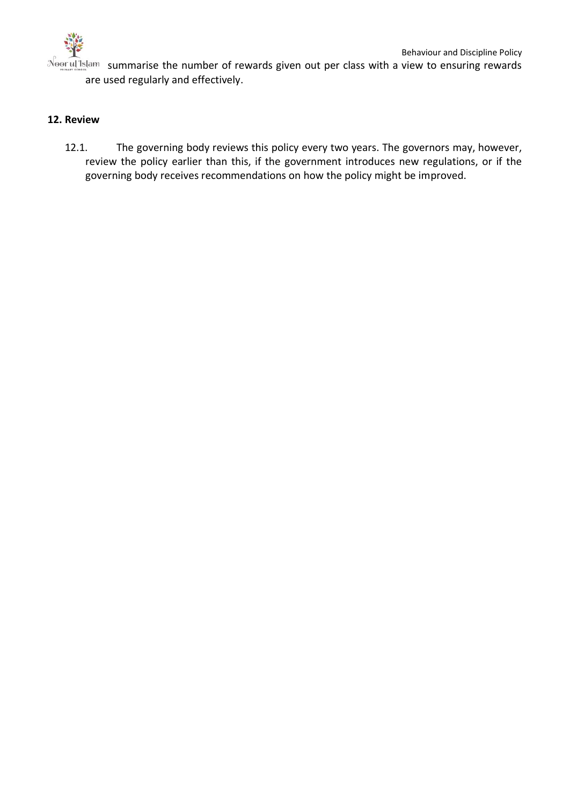

 $N<sub>o</sub>$  summarise the number of rewards given out per class with a view to ensuring rewards are used regularly and effectively.

# **12. Review**

12.1. The governing body reviews this policy every two years. The governors may, however, review the policy earlier than this, if the government introduces new regulations, or if the governing body receives recommendations on how the policy might be improved.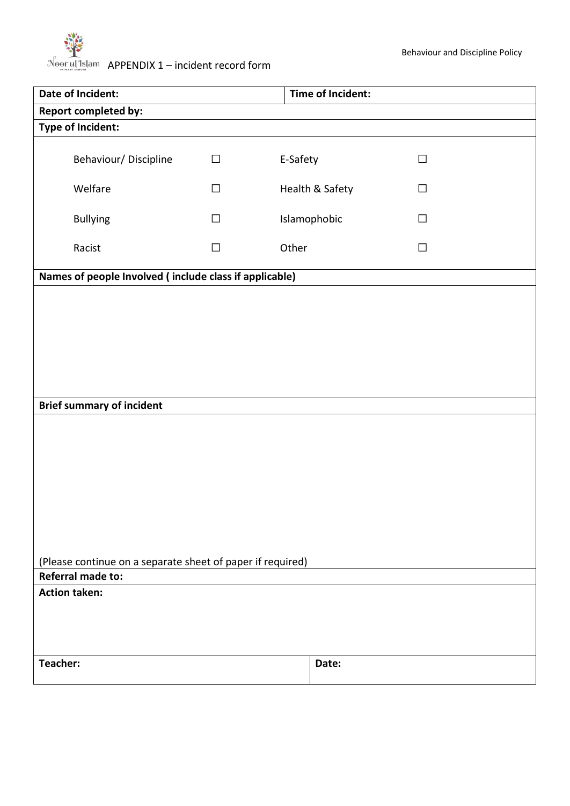# $N_{\text{per}}$   $\overline{M}$  slam APPENDIX 1 – incident record form

| Date of Incident:                                                                      |                                                        |        | Time of Incident: |  |        |
|----------------------------------------------------------------------------------------|--------------------------------------------------------|--------|-------------------|--|--------|
|                                                                                        | <b>Report completed by:</b>                            |        |                   |  |        |
| <b>Type of Incident:</b>                                                               |                                                        |        |                   |  |        |
|                                                                                        | Behaviour/Discipline                                   | $\Box$ | E-Safety          |  | $\Box$ |
|                                                                                        | Welfare                                                | $\Box$ | Health & Safety   |  | $\Box$ |
|                                                                                        | <b>Bullying</b>                                        | $\Box$ | Islamophobic      |  | $\Box$ |
|                                                                                        | Racist                                                 | $\Box$ | Other             |  | $\Box$ |
|                                                                                        | Names of people Involved (include class if applicable) |        |                   |  |        |
|                                                                                        |                                                        |        |                   |  |        |
|                                                                                        | <b>Brief summary of incident</b>                       |        |                   |  |        |
|                                                                                        |                                                        |        |                   |  |        |
| (Please continue on a separate sheet of paper if required)<br><b>Referral made to:</b> |                                                        |        |                   |  |        |
| <b>Action taken:</b>                                                                   |                                                        |        |                   |  |        |
|                                                                                        |                                                        |        |                   |  |        |
| Teacher:                                                                               |                                                        |        | Date:             |  |        |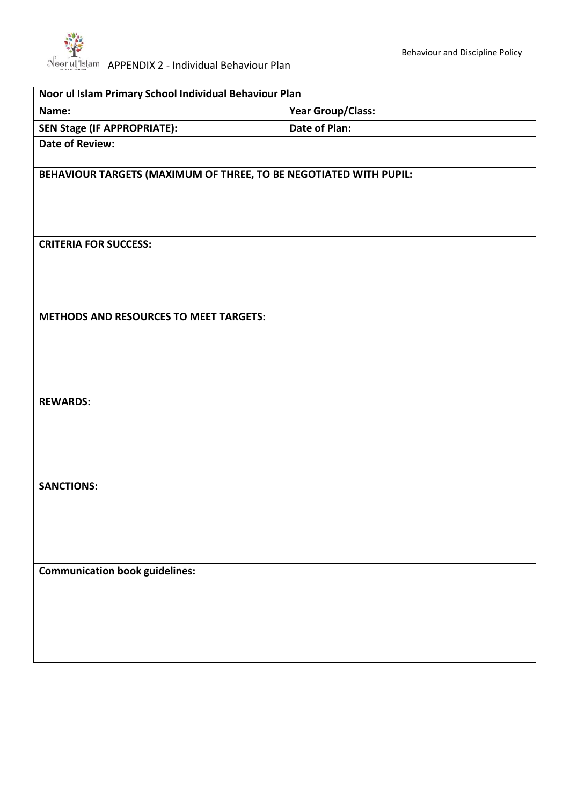| Noor ul Islam Primary School Individual Behaviour Plan            |                          |  |  |  |
|-------------------------------------------------------------------|--------------------------|--|--|--|
| Name:                                                             | <b>Year Group/Class:</b> |  |  |  |
| <b>SEN Stage (IF APPROPRIATE):</b>                                | Date of Plan:            |  |  |  |
| <b>Date of Review:</b>                                            |                          |  |  |  |
| BEHAVIOUR TARGETS (MAXIMUM OF THREE, TO BE NEGOTIATED WITH PUPIL: |                          |  |  |  |
| <b>CRITERIA FOR SUCCESS:</b>                                      |                          |  |  |  |
| <b>METHODS AND RESOURCES TO MEET TARGETS:</b>                     |                          |  |  |  |
| <b>REWARDS:</b>                                                   |                          |  |  |  |
| <b>SANCTIONS:</b>                                                 |                          |  |  |  |
| <b>Communication book guidelines:</b>                             |                          |  |  |  |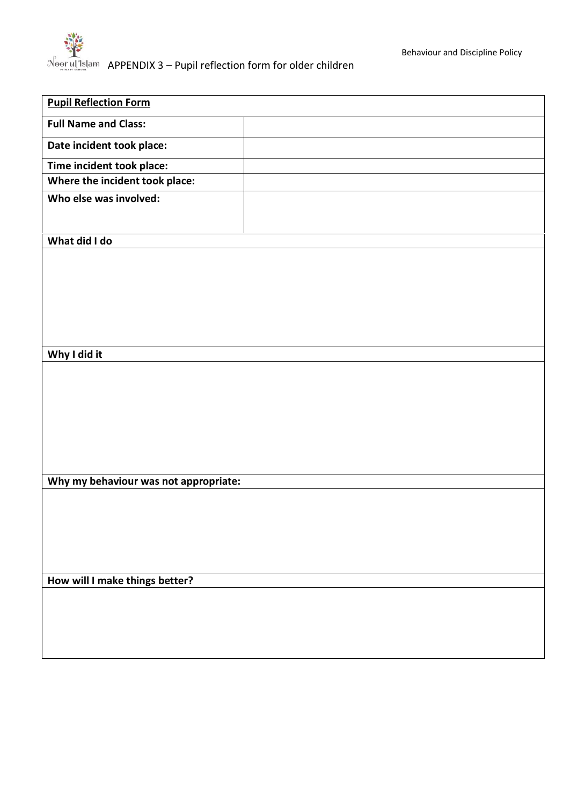

| <b>Pupil Reflection Form</b>          |  |  |
|---------------------------------------|--|--|
| <b>Full Name and Class:</b>           |  |  |
| Date incident took place:             |  |  |
| Time incident took place:             |  |  |
| Where the incident took place:        |  |  |
| Who else was involved:                |  |  |
|                                       |  |  |
| What did I do                         |  |  |
|                                       |  |  |
|                                       |  |  |
|                                       |  |  |
|                                       |  |  |
|                                       |  |  |
|                                       |  |  |
| Why I did it                          |  |  |
|                                       |  |  |
|                                       |  |  |
|                                       |  |  |
|                                       |  |  |
|                                       |  |  |
|                                       |  |  |
| Why my behaviour was not appropriate: |  |  |
|                                       |  |  |
|                                       |  |  |
|                                       |  |  |
|                                       |  |  |
| How will I make things better?        |  |  |
|                                       |  |  |
|                                       |  |  |
|                                       |  |  |
|                                       |  |  |
|                                       |  |  |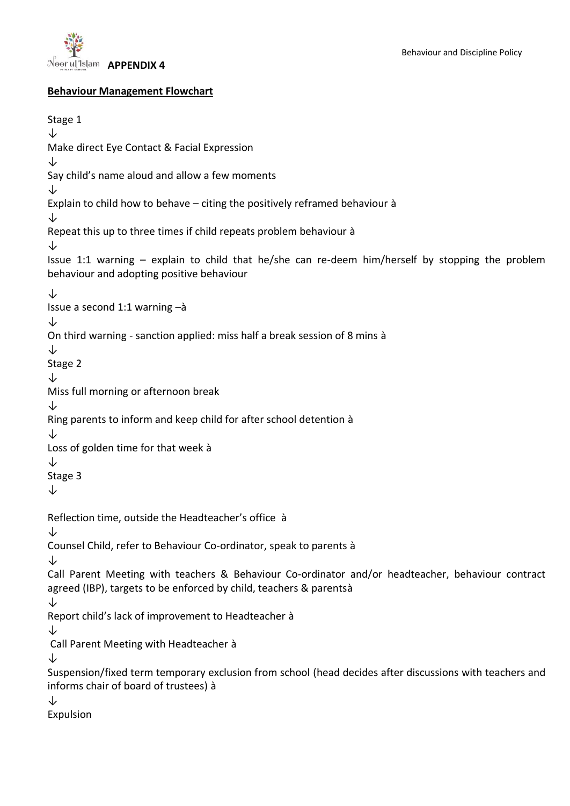

#### **Behaviour Management Flowchart**

```
Stage 1
↓
Make direct Eye Contact & Facial Expression
↓
Say child's name aloud and allow a few moments 
↓
Explain to child how to behave – citing the positively reframed behaviour à
↓ 
Repeat this up to three times if child repeats problem behaviour à
↓ 
Issue 1:1 warning – explain to child that he/she can re-deem him/herself by stopping the problem 
behaviour and adopting positive behaviour
↓
Issue a second 1:1 warning –à
↓
On third warning - sanction applied: miss half a break session of 8 mins à
↓
Stage 2 
↓
Miss full morning or afternoon break
↓
Ring parents to inform and keep child for after school detention à
↓
Loss of golden time for that week à
↓
Stage 3
↓
Reflection time, outside the Headteacher's office à
↓
Counsel Child, refer to Behaviour Co-ordinator, speak to parents à
↓
Call Parent Meeting with teachers & Behaviour Co-ordinator and/or headteacher, behaviour contract 
agreed (IBP), targets to be enforced by child, teachers & parentsà
↓
Report child's lack of improvement to Headteacher à
↓
Call Parent Meeting with Headteacher à
↓
Suspension/fixed term temporary exclusion from school (head decides after discussions with teachers and 
informs chair of board of trustees) à
↓
Expulsion
```